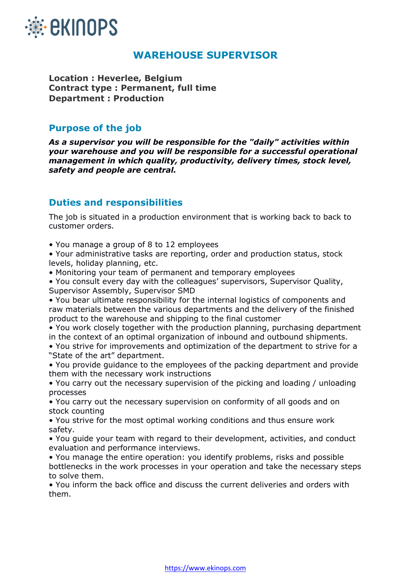

# **WAREHOUSE SUPERVISOR**

**Location : Heverlee, Belgium Contract type : Permanent, full time Department : Production**

### **Purpose of the job**

*As a supervisor you will be responsible for the "daily" activities within your warehouse and you will be responsible for a successful operational management in which quality, productivity, delivery times, stock level, safety and people are central.*

# **Duties and responsibilities**

The job is situated in a production environment that is working back to back to customer orders.

• You manage a group of 8 to 12 employees

• Your administrative tasks are reporting, order and production status, stock levels, holiday planning, etc.

• Monitoring your team of permanent and temporary employees

• You consult every day with the colleagues' supervisors, Supervisor Quality, Supervisor Assembly, Supervisor SMD

• You bear ultimate responsibility for the internal logistics of components and raw materials between the various departments and the delivery of the finished product to the warehouse and shipping to the final customer

• You work closely together with the production planning, purchasing department in the context of an optimal organization of inbound and outbound shipments.

• You strive for improvements and optimization of the department to strive for a "State of the art" department.

• You provide guidance to the employees of the packing department and provide them with the necessary work instructions

• You carry out the necessary supervision of the picking and loading / unloading processes

• You carry out the necessary supervision on conformity of all goods and on stock counting

• You strive for the most optimal working conditions and thus ensure work safety.

• You guide your team with regard to their development, activities, and conduct evaluation and performance interviews.

• You manage the entire operation: you identify problems, risks and possible bottlenecks in the work processes in your operation and take the necessary steps to solve them.

• You inform the back office and discuss the current deliveries and orders with them.